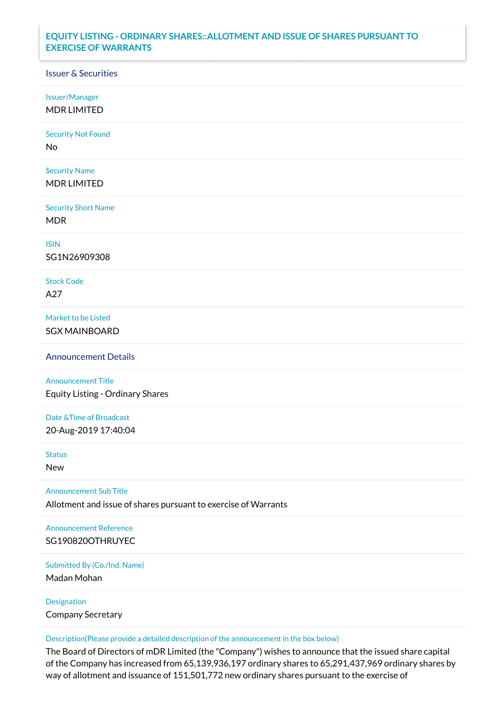## **EQUITY LISTING - ORDINARY SHARES::ALLOTMENT AND ISSUE OF SHARES PURSUANT TO EXERCISE OF WARRANTS**

## Issuer & Securities

Issuer/Manager

MDR LIMITED

Security Not Found

No

Security Name MDR LIMITED

Security Short Name MDR

ISIN

SG1N26909308

Stock Code A27

Market to be Listed SGX MAINBOARD

Announcement Details

Announcement Title Equity Listing - Ordinary Shares

Date &Time of Broadcast 20-Aug-2019 17:40:04

**Status** 

New

Announcement Sub Title

Allotment and issue of shares pursuant to exercise of Warrants

Announcement Reference SG190820OTHRUYEC

Submitted By (Co./Ind. Name)

Madan Mohan

Designation Company Secretary

Description(Please provide a detailed description of the announcement in the box below)

The Board of Directors of mDR Limited (the "Company") wishes to announce that the issued share capital of the Company has increased from 65,139,936,197 ordinary shares to 65,291,437,969 ordinary shares by way of allotment and issuance of 151,501,772 new ordinary shares pursuant to the exercise of